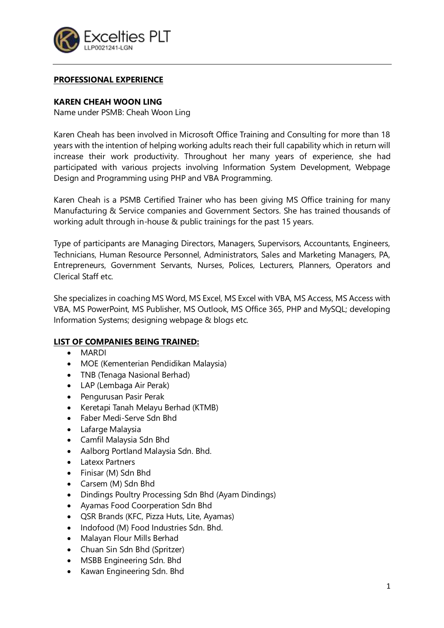

# **PROFESSIONAL EXPERIENCE**

### **KAREN CHEAH WOON LING**

Name under PSMB: Cheah Woon Ling

Karen Cheah has been involved in Microsoft Office Training and Consulting for more than 18 years with the intention of helping working adults reach their full capability which in return will increase their work productivity. Throughout her many years of experience, she had participated with various projects involving Information System Development, Webpage Design and Programming using PHP and VBA Programming.

Karen Cheah is a PSMB Certified Trainer who has been giving MS Office training for many Manufacturing & Service companies and Government Sectors. She has trained thousands of working adult through in-house & public trainings for the past 15 years.

Type of participants are Managing Directors, Managers, Supervisors, Accountants, Engineers, Technicians, Human Resource Personnel, Administrators, Sales and Marketing Managers, PA, Entrepreneurs, Government Servants, Nurses, Polices, Lecturers, Planners, Operators and Clerical Staff etc.

She specializes in coaching MS Word, MS Excel, MS Excel with VBA, MS Access, MS Access with VBA, MS PowerPoint, MS Publisher, MS Outlook, MS Office 365, PHP and MySQL; developing Information Systems; designing webpage & blogs etc.

# **LIST OF COMPANIES BEING TRAINED:**

- MARDI
- MOE (Kementerian Pendidikan Malaysia)
- TNB (Tenaga Nasional Berhad)
- LAP (Lembaga Air Perak)
- Pengurusan Pasir Perak
- Keretapi Tanah Melayu Berhad (KTMB)
- Faber Medi-Serve Sdn Bhd
- Lafarge Malaysia
- Camfil Malaysia Sdn Bhd
- Aalborg Portland Malaysia Sdn. Bhd.
- Latexx Partners
- Finisar (M) Sdn Bhd
- Carsem (M) Sdn Bhd
- Dindings Poultry Processing Sdn Bhd (Ayam Dindings)
- Ayamas Food Coorperation Sdn Bhd
- QSR Brands (KFC, Pizza Huts, Lite, Ayamas)
- Indofood (M) Food Industries Sdn. Bhd.
- Malayan Flour Mills Berhad
- Chuan Sin Sdn Bhd (Spritzer)
- MSBB Engineering Sdn. Bhd
- Kawan Engineering Sdn. Bhd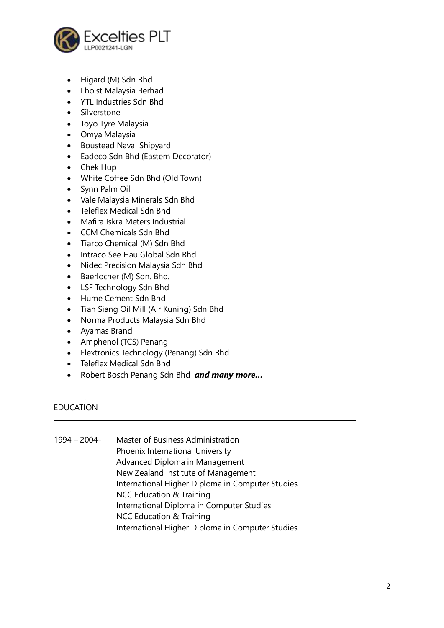

- Higard (M) Sdn Bhd
- Lhoist Malaysia Berhad
- YTL Industries Sdn Bhd
- Silverstone
- Toyo Tyre Malaysia
- Omya Malaysia
- Boustead Naval Shipyard
- Eadeco Sdn Bhd (Eastern Decorator)
- Chek Hup
- White Coffee Sdn Bhd (Old Town)
- Synn Palm Oil
- Vale Malaysia Minerals Sdn Bhd
- Teleflex Medical Sdn Bhd
- Mafira Iskra Meters Industrial
- CCM Chemicals Sdn Bhd
- Tiarco Chemical (M) Sdn Bhd
- Intraco See Hau Global Sdn Bhd
- Nidec Precision Malaysia Sdn Bhd
- Baerlocher (M) Sdn. Bhd.
- LSF Technology Sdn Bhd
- Hume Cement Sdn Bhd
- Tian Siang Oil Mill (Air Kuning) Sdn Bhd
- Norma Products Malaysia Sdn Bhd
- Ayamas Brand
- Amphenol (TCS) Penang
- Flextronics Technology (Penang) Sdn Bhd
- Teleflex Medical Sdn Bhd
- Robert Bosch Penang Sdn Bhd *and many more…*

### . EDUCATION

1994 – 2004- Master of Business Administration Phoenix International University Advanced Diploma in Management New Zealand Institute of Management International Higher Diploma in Computer Studies NCC Education & Training International Diploma in Computer Studies NCC Education & Training International Higher Diploma in Computer Studies